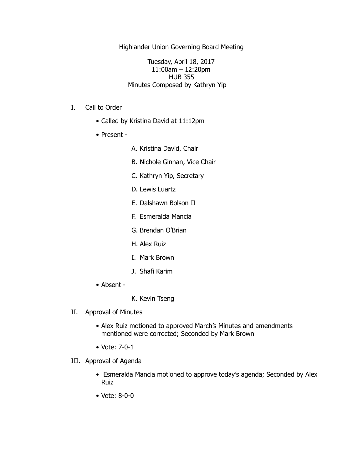Highlander Union Governing Board Meeting

Tuesday, April 18, 2017 11:00am – 12:20pm HUB 355 Minutes Composed by Kathryn Yip

- I. Call to Order
	- Called by Kristina David at 11:12pm
	- Present -
- A. Kristina David, Chair
- B. Nichole Ginnan, Vice Chair
- C. Kathryn Yip, Secretary
- D. Lewis Luartz
- E. Dalshawn Bolson II
- F. Esmeralda Mancia
- G. Brendan O'Brian
- H. Alex Ruiz
- I. Mark Brown
- J. Shafi Karim
- Absent -
- K. Kevin Tseng
- II. Approval of Minutes
	- Alex Ruiz motioned to approved March's Minutes and amendments mentioned were corrected; Seconded by Mark Brown
	- Vote: 7-0-1
- III. Approval of Agenda
	- Esmeralda Mancia motioned to approve today's agenda; Seconded by Alex Ruiz
	- Vote: 8-0-0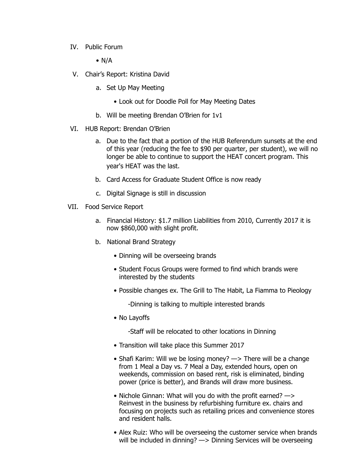IV. Public Forum

 $\bullet$  N/A

- V. Chair's Report: Kristina David
	- a. Set Up May Meeting
		- Look out for Doodle Poll for May Meeting Dates
	- b. Will be meeting Brendan O'Brien for 1v1
- VI. HUB Report: Brendan O'Brien
	- a. Due to the fact that a portion of the HUB Referendum sunsets at the end of this year (reducing the fee to \$90 per quarter, per student), we will no longer be able to continue to support the HEAT concert program. This year's HEAT was the last.
	- b. Card Access for Graduate Student Office is now ready
	- c. Digital Signage is still in discussion
- VII. Food Service Report
	- a. Financial History: \$1.7 million Liabilities from 2010, Currently 2017 it is now \$860,000 with slight profit.
	- b. National Brand Strategy
		- Dinning will be overseeing brands
		- Student Focus Groups were formed to find which brands were interested by the students
		- Possible changes ex. The Grill to The Habit, La Fiamma to Pieology

-Dinning is talking to multiple interested brands

• No Layoffs

-Staff will be relocated to other locations in Dinning

- Transition will take place this Summer 2017
- Shafi Karim: Will we be losing money?  $\rightarrow$  There will be a change from 1 Meal a Day vs. 7 Meal a Day, extended hours, open on weekends, commission on based rent, risk is eliminated, binding power (price is better), and Brands will draw more business.
- Nichole Ginnan: What will you do with the profit earned? —> Reinvest in the business by refurbishing furniture ex. chairs and focusing on projects such as retailing prices and convenience stores and resident halls.
- Alex Ruiz: Who will be overseeing the customer service when brands will be included in dinning? - > Dinning Services will be overseeing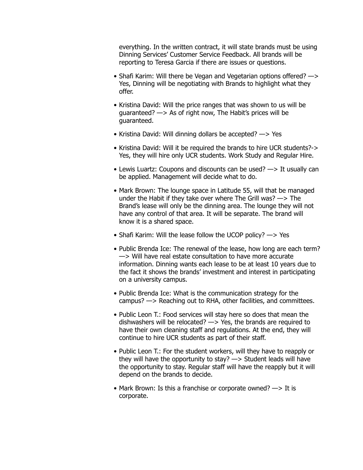everything. In the written contract, it will state brands must be using Dinning Services' Customer Service Feedback. All brands will be reporting to Teresa Garcia if there are issues or questions.

- Shafi Karim: Will there be Vegan and Vegetarian options offered? —> Yes, Dinning will be negotiating with Brands to highlight what they offer.
- Kristina David: Will the price ranges that was shown to us will be guaranteed? —> As of right now, The Habit's prices will be guaranteed.
- Kristina David: Will dinning dollars be accepted? —> Yes
- Kristina David: Will it be required the brands to hire UCR students?-> Yes, they will hire only UCR students. Work Study and Regular Hire.
- Lewis Luartz: Coupons and discounts can be used? —> It usually can be applied. Management will decide what to do.
- Mark Brown: The lounge space in Latitude 55, will that be managed under the Habit if they take over where The Grill was? —> The Brand's lease will only be the dinning area. The lounge they will not have any control of that area. It will be separate. The brand will know it is a shared space.
- Shafi Karim: Will the lease follow the UCOP policy? —> Yes
- Public Brenda Ice: The renewal of the lease, how long are each term? —> Will have real estate consultation to have more accurate information. Dinning wants each lease to be at least 10 years due to the fact it shows the brands' investment and interest in participating on a university campus.
- Public Brenda Ice: What is the communication strategy for the campus? —> Reaching out to RHA, other facilities, and committees.
- Public Leon T.: Food services will stay here so does that mean the dishwashers will be relocated? —> Yes, the brands are required to have their own cleaning staff and regulations. At the end, they will continue to hire UCR students as part of their staff.
- Public Leon T.: For the student workers, will they have to reapply or they will have the opportunity to stay? —> Student leads will have the opportunity to stay. Regular staff will have the reapply but it will depend on the brands to decide.
- Mark Brown: Is this a franchise or corporate owned?  $\rightarrow$  It is corporate.